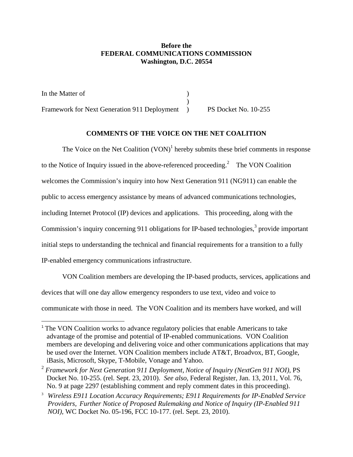## **Before the FEDERAL COMMUNICATIONS COMMISSION Washington, D.C. 20554**

In the Matter of  $\qquad \qquad$  )  $)$ Framework for Next Generation 911 Deployment ) PS Docket No. 10-255

<u>.</u>

# **COMMENTS OF THE VOICE ON THE NET COALITION**

The Voice on the Net Coalition  $(VON)^1$  hereby submits these brief comments in response to the Notice of Inquiry issued in the above-referenced proceeding.<sup>2</sup> The VON Coalition welcomes the Commission's inquiry into how Next Generation 911 (NG911) can enable the public to access emergency assistance by means of advanced communications technologies, including Internet Protocol (IP) devices and applications. This proceeding, along with the Commission's inquiry concerning 911 obligations for IP-based technologies,<sup>3</sup> provide important initial steps to understanding the technical and financial requirements for a transition to a fully IP-enabled emergency communications infrastructure.

 VON Coalition members are developing the IP-based products, services, applications and devices that will one day allow emergency responders to use text, video and voice to communicate with those in need. The VON Coalition and its members have worked, and will

<sup>&</sup>lt;sup>1</sup> The VON Coalition works to advance regulatory policies that enable Americans to take advantage of the promise and potential of IP-enabled communications. VON Coalition members are developing and delivering voice and other communications applications that may be used over the Internet. VON Coalition members include AT&T, Broadvox, BT, Google, iBasis, Microsoft, Skype, T-Mobile, Vonage and Yahoo.

<sup>2</sup> *Framework for Next Generation 911 Deployment, Notice of Inquiry (NextGen 911 NOI),* PS Docket No. 10-255. (rel. Sept. 23, 2010). *See also,* Federal Register, Jan. 13, 2011, Vol. 76, No. 9 at page 2297 (establishing comment and reply comment dates in this proceeding).

<sup>3</sup> *Wireless E911 Location Accuracy Requirements; E911 Requirements for IP-Enabled Service Providers, Further Notice of Proposed Rulemaking and Notice of Inquiry (IP-Enabled 911 NOI),* WC Docket No. 05-196, FCC 10-177. (rel. Sept. 23, 2010).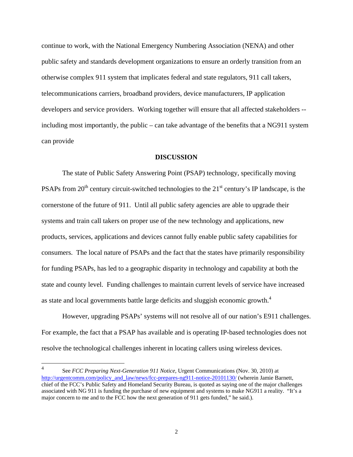continue to work, with the National Emergency Numbering Association (NENA) and other public safety and standards development organizations to ensure an orderly transition from an otherwise complex 911 system that implicates federal and state regulators, 911 call takers, telecommunications carriers, broadband providers, device manufacturers, IP application developers and service providers. Working together will ensure that all affected stakeholders - including most importantly, the public – can take advantage of the benefits that a NG911 system can provide

#### **DISCUSSION**

 The state of Public Safety Answering Point (PSAP) technology, specifically moving PSAPs from  $20<sup>th</sup>$  century circuit-switched technologies to the  $21<sup>st</sup>$  century's IP landscape, is the cornerstone of the future of 911. Until all public safety agencies are able to upgrade their systems and train call takers on proper use of the new technology and applications, new products, services, applications and devices cannot fully enable public safety capabilities for consumers. The local nature of PSAPs and the fact that the states have primarily responsibility for funding PSAPs, has led to a geographic disparity in technology and capability at both the state and county level. Funding challenges to maintain current levels of service have increased as state and local governments battle large deficits and sluggish economic growth.4

 However, upgrading PSAPs' systems will not resolve all of our nation's E911 challenges. For example, the fact that a PSAP has available and is operating IP-based technologies does not resolve the technological challenges inherent in locating callers using wireless devices.

 $\frac{1}{4}$  See *FCC Preparing Next-Generation 911 Notice,* Urgent Communications (Nov. 30, 2010) at http://urgentcomm.com/policy\_and\_law/news/fcc-prepares-ng911-notice-20101130/ (wherein Jamie Barnett, chief of the FCC's Public Safety and Homeland Security Bureau, is quoted as saying one of the major challenges associated with NG 911 is funding the purchase of new equipment and systems to make NG911 a reality. "It's a major concern to me and to the FCC how the next generation of 911 gets funded," he said.).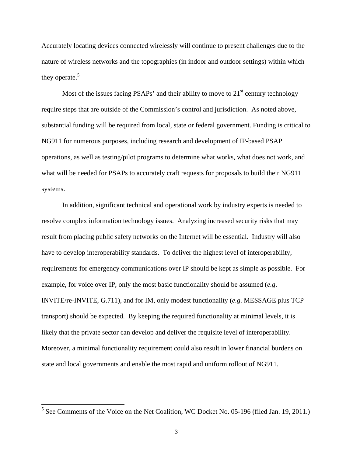Accurately locating devices connected wirelessly will continue to present challenges due to the nature of wireless networks and the topographies (in indoor and outdoor settings) within which they operate.<sup>5</sup>

Most of the issues facing PSAPs' and their ability to move to  $21<sup>st</sup>$  century technology require steps that are outside of the Commission's control and jurisdiction. As noted above, substantial funding will be required from local, state or federal government. Funding is critical to NG911 for numerous purposes, including research and development of IP-based PSAP operations, as well as testing/pilot programs to determine what works, what does not work, and what will be needed for PSAPs to accurately craft requests for proposals to build their NG911 systems.

 In addition, significant technical and operational work by industry experts is needed to resolve complex information technology issues. Analyzing increased security risks that may result from placing public safety networks on the Internet will be essential. Industry will also have to develop interoperability standards. To deliver the highest level of interoperability, requirements for emergency communications over IP should be kept as simple as possible. For example, for voice over IP, only the most basic functionality should be assumed (*e.g*. INVITE/re-INVITE, G.711), and for IM, only modest functionality (*e.g*. MESSAGE plus TCP transport) should be expected. By keeping the required functionality at minimal levels, it is likely that the private sector can develop and deliver the requisite level of interoperability. Moreover, a minimal functionality requirement could also result in lower financial burdens on state and local governments and enable the most rapid and uniform rollout of NG911.

<u>.</u>

 $<sup>5</sup>$  See Comments of the Voice on the Net Coalition, WC Docket No. 05-196 (filed Jan. 19, 2011.)</sup>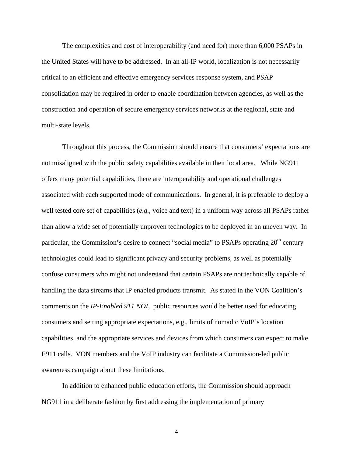The complexities and cost of interoperability (and need for) more than 6,000 PSAPs in the United States will have to be addressed. In an all-IP world, localization is not necessarily critical to an efficient and effective emergency services response system, and PSAP consolidation may be required in order to enable coordination between agencies, as well as the construction and operation of secure emergency services networks at the regional, state and multi-state levels.

 Throughout this process, the Commission should ensure that consumers' expectations are not misaligned with the public safety capabilities available in their local area. While NG911 offers many potential capabilities, there are interoperability and operational challenges associated with each supported mode of communications. In general, it is preferable to deploy a well tested core set of capabilities (*e.g.*, voice and text) in a uniform way across all PSAPs rather than allow a wide set of potentially unproven technologies to be deployed in an uneven way. In particular, the Commission's desire to connect "social media" to PSAPs operating 20<sup>th</sup> century technologies could lead to significant privacy and security problems, as well as potentially confuse consumers who might not understand that certain PSAPs are not technically capable of handling the data streams that IP enabled products transmit. As stated in the VON Coalition's comments on the *IP-Enabled 911 NOI,* public resources would be better used for educating consumers and setting appropriate expectations, e.g., limits of nomadic VoIP's location capabilities, and the appropriate services and devices from which consumers can expect to make E911 calls. VON members and the VoIP industry can facilitate a Commission-led public awareness campaign about these limitations.

 In addition to enhanced public education efforts, the Commission should approach NG911 in a deliberate fashion by first addressing the implementation of primary

4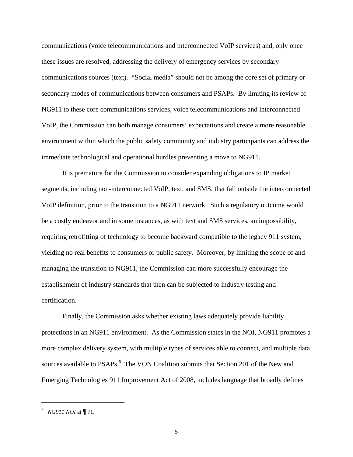communications (voice telecommunications and interconnected VoIP services) and, only once these issues are resolved, addressing the delivery of emergency services by secondary communications sources (text). "Social media" should not be among the core set of primary or secondary modes of communications between consumers and PSAPs. By limiting its review of NG911 to these core communications services, voice telecommunications and interconnected VoIP, the Commission can both manage consumers' expectations and create a more reasonable environment within which the public safety community and industry participants can address the immediate technological and operational hurdles preventing a move to NG911.

It is premature for the Commission to consider expanding obligations to IP market segments, including non-interconnected VoIP, text, and SMS, that fall outside the interconnected VoIP definition, prior to the transition to a NG911 network. Such a regulatory outcome would be a costly endeavor and in some instances, as with text and SMS services, an impossibility, requiring retrofitting of technology to become backward compatible to the legacy 911 system, yielding no real benefits to consumers or public safety. Moreover, by limiting the scope of and managing the transition to NG911, the Commission can more successfully encourage the establishment of industry standards that then can be subjected to industry testing and certification.

 Finally, the Commission asks whether existing laws adequately provide liability protections in an NG911 environment. As the Commission states in the NOI, NG911 promotes a more complex delivery system, with multiple types of services able to connect, and multiple data sources available to PSAPs.<sup>6</sup> The VON Coalition submits that Section 201 of the New and Emerging Technologies 911 Improvement Act of 2008, includes language that broadly defines

 $\overline{a}$ 

<sup>6</sup> *NG911 NOI* at ¶ 71.